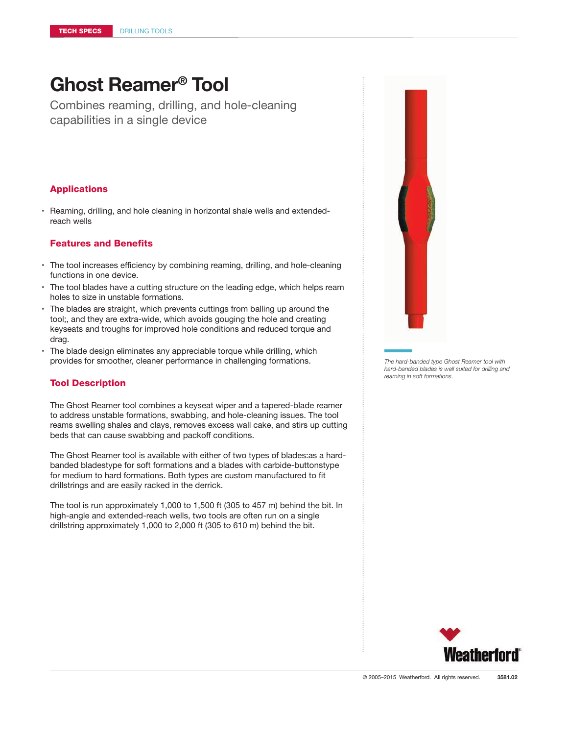# **Ghost Reamer® Tool**

Combines reaming, drilling, and hole-cleaning capabilities in a single device

### Applications

• Reaming, drilling, and hole cleaning in horizontal shale wells and extendedreach wells

#### Features and Benefits

- The tool increases efficiency by combining reaming, drilling, and hole-cleaning functions in one device.
- The tool blades have a cutting structure on the leading edge, which helps ream holes to size in unstable formations.
- The blades are straight, which prevents cuttings from balling up around the tool;, and they are extra-wide, which avoids gouging the hole and creating keyseats and troughs for improved hole conditions and reduced torque and drag.
- The blade design eliminates any appreciable torque while drilling, which provides for smoother, cleaner performance in challenging formations.

#### Tool Description

The Ghost Reamer tool combines a keyseat wiper and a tapered-blade reamer to address unstable formations, swabbing, and hole-cleaning issues. The tool reams swelling shales and clays, removes excess wall cake, and stirs up cutting beds that can cause swabbing and packoff conditions.

The Ghost Reamer tool is available with either of two types of blades:as a hardbanded bladestype for soft formations and a blades with carbide-buttonstype for medium to hard formations. Both types are custom manufactured to fit drillstrings and are easily racked in the derrick.

The tool is run approximately 1,000 to 1,500 ft (305 to 457 m) behind the bit. In high-angle and extended-reach wells, two tools are often run on a single drillstring approximately 1,000 to 2,000 ft (305 to 610 m) behind the bit.



*The hard-banded type Ghost Reamer tool with hard-banded blades is well suited for drilling and reaming in soft formations.*